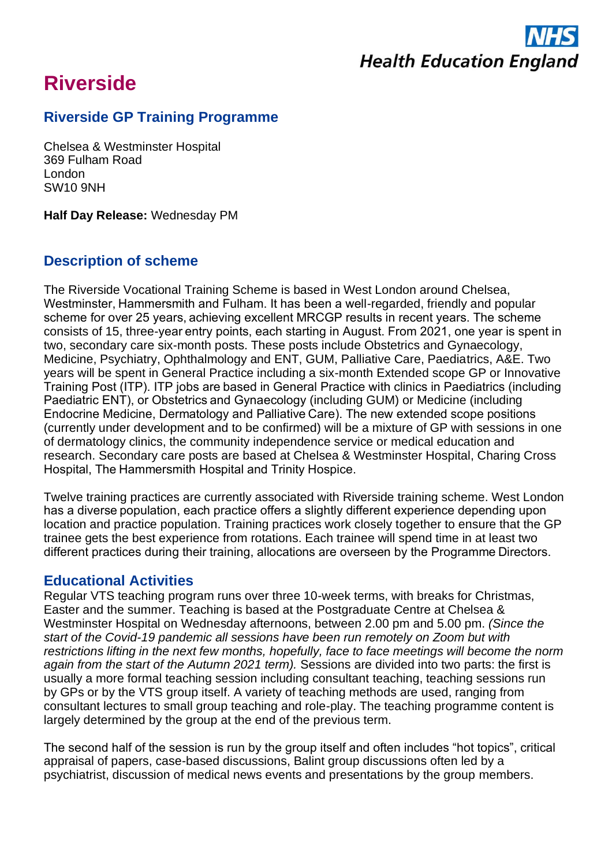

# **Riverside**

# **Riverside GP Training Programme**

Chelsea & Westminster Hospital 369 Fulham Road London SW10 9NH

**Half Day Release:** Wednesday PM

## **Description of scheme**

The Riverside Vocational Training Scheme is based in West London around Chelsea, Westminster, Hammersmith and Fulham. It has been a well-regarded, friendly and popular scheme for over 25 years, achieving excellent MRCGP results in recent years. The scheme consists of 15, three-year entry points, each starting in August. From 2021, one year is spent in two, secondary care six-month posts. These posts include Obstetrics and Gynaecology, Medicine, Psychiatry, Ophthalmology and ENT, GUM, Palliative Care, Paediatrics, A&E. Two years will be spent in General Practice including a six-month Extended scope GP or Innovative Training Post (ITP). ITP jobs are based in General Practice with clinics in Paediatrics (including Paediatric ENT), or Obstetrics and Gynaecology (including GUM) or Medicine (including Endocrine Medicine, Dermatology and Palliative Care). The new extended scope positions (currently under development and to be confirmed) will be a mixture of GP with sessions in one of dermatology clinics, the community independence service or medical education and research. Secondary care posts are based at Chelsea & Westminster Hospital, Charing Cross Hospital, The Hammersmith Hospital and Trinity Hospice.

Twelve training practices are currently associated with Riverside training scheme. West London has a diverse population, each practice offers a slightly different experience depending upon location and practice population. Training practices work closely together to ensure that the GP trainee gets the best experience from rotations. Each trainee will spend time in at least two different practices during their training, allocations are overseen by the Programme Directors.

## **Educational Activities**

Regular VTS teaching program runs over three 10-week terms, with breaks for Christmas, Easter and the summer. Teaching is based at the Postgraduate Centre at Chelsea & Westminster Hospital on Wednesday afternoons, between 2.00 pm and 5.00 pm. *(Since the start of the Covid-19 pandemic all sessions have been run remotely on Zoom but with restrictions lifting in the next few months, hopefully, face to face meetings will become the norm again from the start of the Autumn 2021 term).* Sessions are divided into two parts: the first is usually a more formal teaching session including consultant teaching, teaching sessions run by GPs or by the VTS group itself. A variety of teaching methods are used, ranging from consultant lectures to small group teaching and role-play. The teaching programme content is largely determined by the group at the end of the previous term.

The second half of the session is run by the group itself and often includes "hot topics", critical appraisal of papers, case-based discussions, Balint group discussions often led by a psychiatrist, discussion of medical news events and presentations by the group members.